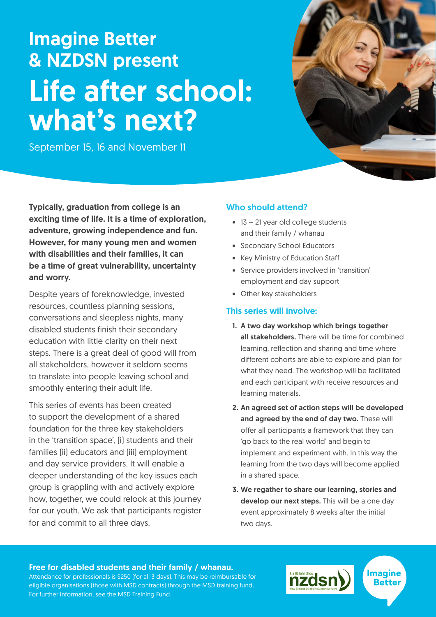# Imagine Better & NZDSN present Life after school: what's next?

September 15, 16 and November 11



Typically, graduation from college is an exciting time of life. It is a time of exploration, adventure, growing independence and fun. However, for many young men and women with disabilities and their families, it can be a time of great vulnerability, uncertainty and worry.

Despite years of foreknowledge, invested resources, countless planning sessions, conversations and sleepless nights, many disabled students finish their secondary education with little clarity on their next steps. There is a great deal of good will from all stakeholders, however it seldom seems to translate into people leaving school and smoothly entering their adult life.

This series of events has been created to support the development of a shared foundation for the three key stakeholders in the 'transition space', (i) students and their families (ii) educators and (iii) employment and day service providers. It will enable a deeper understanding of the key issues each group is grappling with and actively explore how, together, we could relook at this journey for our youth. We ask that participants register for and commit to all three days.

### Who should attend?

- 13 21 year old college students and their family / whanau
- Secondary School Educators
- Key Ministry of Education Staff
- Service providers involved in 'transition' employment and day support
- Other key stakeholders

### This series will involve:

- 1. A two day workshop which brings together all stakeholders. There will be time for combined learning, reflection and sharing and time where different cohorts are able to explore and plan for what they need. The workshop will be facilitated and each participant with receive resources and learning materials.
- 2. An agreed set of action steps will be developed and agreed by the end of day two. These will offer all participants a framework that they can 'go back to the real world' and begin to implement and experiment with. In this way the learning from the two days will become applied in a shared space.
- 3. We regather to share our learning, stories and develop our next steps. This will be a one day event approximately 8 weeks after the initial two days.

#### Free for disabled students and their family / whanau.

Attendance for professionals is \$250 (for all 3 days). This may be reimbursable for eligible organisations (those with MSD contracts) through the MSD training fund. For further information, see the [MSD Training Fund.](https://www.nzdsn.org.nz/nzdsn-training-and-workforce-development-fund/)